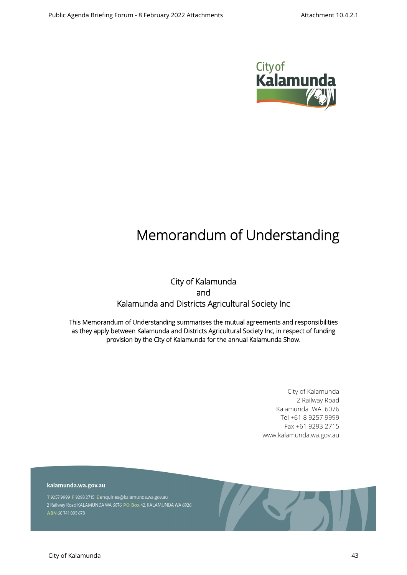

# **Memorandum of Understanding**

## **City of Kalamunda and Kalamunda and Districts Agricultural Society Inc**

**This Memorandum of Understanding summarises the mutual agreements and responsibilities as they apply between Kalamunda and Districts Agricultural Society Inc, in respect of funding provision by the City of Kalamunda for the annual Kalamunda Show.**

> City of Kalamunda 2 Railway Road Kalamunda WA 6076 Tel +61 8 9257 9999 Fax +61 9293 2715 www.kalamunda.wa.gov.au

kalamunda.wa.gov.au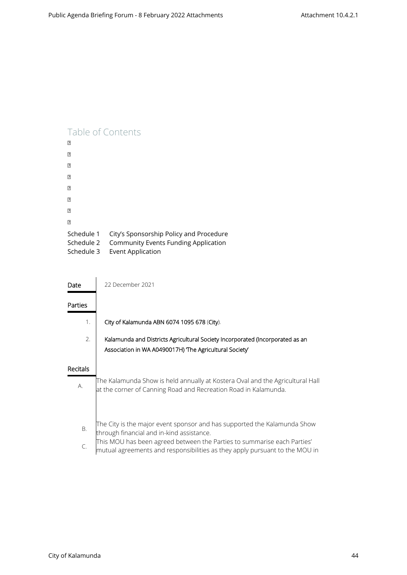## Table of Contents

| 卪                                      |                                                                                                                    |
|----------------------------------------|--------------------------------------------------------------------------------------------------------------------|
| 卪                                      |                                                                                                                    |
| 卪                                      |                                                                                                                    |
| 卪                                      |                                                                                                                    |
| 卪                                      |                                                                                                                    |
| 卪                                      |                                                                                                                    |
| 卪                                      |                                                                                                                    |
| 卪                                      |                                                                                                                    |
| Schedule 1<br>Schedule 2<br>Schedule 3 | City's Sponsorship Policy and Procedure<br><b>Community Events Funding Application</b><br><b>Event Application</b> |

| Date     | 22 December 2021                                                                                                                                                                                                                                                                    |
|----------|-------------------------------------------------------------------------------------------------------------------------------------------------------------------------------------------------------------------------------------------------------------------------------------|
| Parties  |                                                                                                                                                                                                                                                                                     |
| 1.       | City of Kalamunda ABN 6074 1095 678 (City).                                                                                                                                                                                                                                         |
| 2.       | Kalamunda and Districts Agricultural Society Incorporated (Incorporated as an<br>Association in WA A0490017H) The Agricultural Society                                                                                                                                              |
| Recitals |                                                                                                                                                                                                                                                                                     |
| А.       | The Kalamunda Show is held annually at Kostera Oval and the Agricultural Hall<br>at the corner of Canning Road and Recreation Road in Kalamunda.                                                                                                                                    |
| В.<br>C. | The City is the major event sponsor and has supported the Kalamunda Show<br>through financial and in-kind assistance.<br>This MOU has been agreed between the Parties to summarise each Parties'<br>$ $ mutual agreements and responsibilities as they apply pursuant to the MOU in |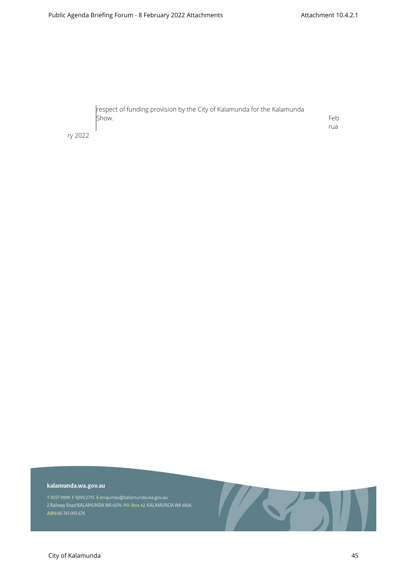| respect of funding provision by the City of Kalamunda for the Kalamunda |     |
|-------------------------------------------------------------------------|-----|
| Show.                                                                   | Feb |
|                                                                         | rua |

ry 2022

#### kalamunda.wa.gov.au

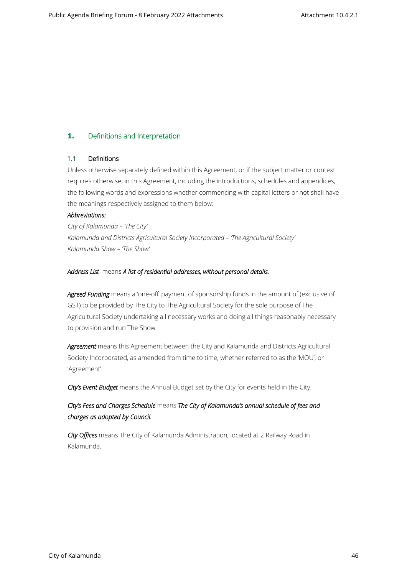## **1. Definitions and Interpretation**

## **1.1 Definitions**

Unless otherwise separately defined within this Agreement, or if the subject matter or context requires otherwise, in this Agreement, including the introductions, schedules and appendices, the following words and expressions whether commencing with capital letters or not shall have the meanings respectively assigned to them below:

## *Abbreviations:*

*City of Kalamunda – 'The City' Kalamunda and Districts Agricultural Society Incorporated – 'The Agricultural Society' Kalamunda Show – 'The Show'*

## *Address List* means *A list of residential addresses, without personal details.*

Agreed Funding means a 'one-off' payment of sponsorship funds in the amount of (exclusive of GST) to be provided by The City to The Agricultural Society for the sole purpose of The Agricultural Society undertaking all necessary works and doing all things reasonably necessary to provision and run The Show.

*Agreement* means this Agreement between the City and Kalamunda and Districts Agricultural Society Incorporated, as amended from time to time, whether referred to as the 'MOU', or 'Agreement'.

*City's Event Budget* means the Annual Budget set by the City for events held in the City.

## *City's Fees and Charges Schedule* means *The City of Kalamunda's annual schedule of fees and charges as adopted by Council.*

*City Offices* means The City of Kalamunda Administration, located at 2 Railway Road in Kalamunda.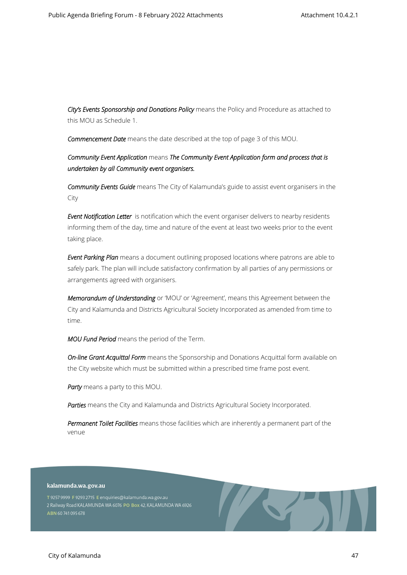*City's Events Sponsorship and Donations Policy* means the Policy and Procedure as attached to this MOU as Schedule 1.

*Commencement Date* means the date described at the top of page 3 of this MOU.

*Community Event Application* means *The Community Event Application form and process that is undertaken by all Community event organisers.*

*Community Events Guide* means The City of Kalamunda's guide to assist event organisers in the City

*Event Notification Letter* is notification which the event organiser delivers to nearby residents informing them of the day, time and nature of the event at least two weeks prior to the event taking place.

*Event Parking Plan* means a document outlining proposed locations where patrons are able to safely park. The plan will include satisfactory confirmation by all parties of any permissions or arrangements agreed with organisers.

*Memorandum of Understanding* or 'MOU' or 'Agreement', means this Agreement between the City and Kalamunda and Districts Agricultural Society Incorporated as amended from time to time.

*MOU Fund Period* means the period of the Term.

*On-line Grant Acquittal Form* means the Sponsorship and Donations Acquittal form available on the City website which must be submitted within a prescribed time frame post event.

*Party* means a party to this MOU.

*Parties* means the City and Kalamunda and Districts Agricultural Society Incorporated.

*Permanent Toilet Facilities* means those facilities which are inherently a permanent part of the venue

#### kalamunda.wa.gov.au

T 9257 9999 F 9293 2715 E enquiries@kalamunda.wa.gov.au 2 Railway Road KALAMUNDA WA 6076 PO Box 42, KALAMUNDA WA 6926 ABN 60741095678

ASTERNATIVE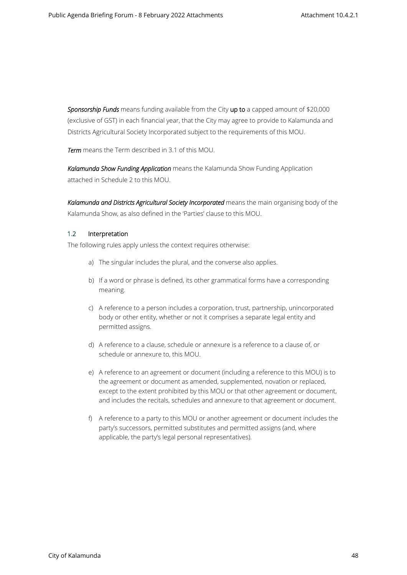*Sponsorship Funds* means funding available from the City **up to** a capped amount of \$20,000 (exclusive of GST) in each financial year, that the City may agree to provide to Kalamunda and Districts Agricultural Society Incorporated subject to the requirements of this MOU.

*Term* means the Term described in 3.1 of this MOU.

*Kalamunda Show Funding Application* means the Kalamunda Show Funding Application attached in Schedule 2 to this MOU.

Kalamunda and Districts Agricultural Society Incorporated means the main organising body of the Kalamunda Show, as also defined in the 'Parties' clause to this MOU.

## **1.2 Interpretation**

The following rules apply unless the context requires otherwise:

- a) The singular includes the plural, and the converse also applies.
- b) If a word or phrase is defined, its other grammatical forms have a corresponding meaning.
- c) A reference to a person includes a corporation, trust, partnership, unincorporated body or other entity, whether or not it comprises a separate legal entity and permitted assigns.
- d) A reference to a clause, schedule or annexure is a reference to a clause of, or schedule or annexure to, this MOU.
- e) A reference to an agreement or document (including a reference to this MOU) is to the agreement or document as amended, supplemented, novation or replaced, except to the extent prohibited by this MOU or that other agreement or document, and includes the recitals, schedules and annexure to that agreement or document.
- f) A reference to a party to this MOU or another agreement or document includes the party's successors, permitted substitutes and permitted assigns (and, where applicable, the party's legal personal representatives).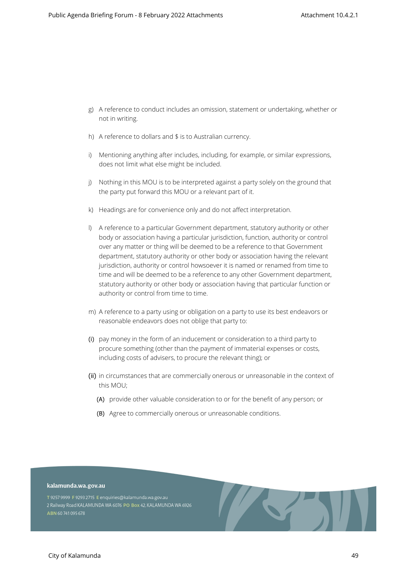- g) A reference to conduct includes an omission, statement or undertaking, whether or not in writing.
- h) A reference to dollars and \$ is to Australian currency.
- i) Mentioning anything after includes, including, for example, or similar expressions, does not limit what else might be included.
- j) Nothing in this MOU is to be interpreted against a party solely on the ground that the party put forward this MOU or a relevant part of it.
- k) Headings are for convenience only and do not affect interpretation.
- l) A reference to a particular Government department, statutory authority or other body or association having a particular jurisdiction, function, authority or control over any matter or thing will be deemed to be a reference to that Government department, statutory authority or other body or association having the relevant jurisdiction, authority or control howsoever it is named or renamed from time to time and will be deemed to be a reference to any other Government department, statutory authority or other body or association having that particular function or authority or control from time to time.
- m) A reference to a party using or obligation on a party to use its best endeavors or reasonable endeavors does not oblige that party to:
- (i) pay money in the form of an inducement or consideration to a third party to procure something (other than the payment of immaterial expenses or costs, including costs of advisers, to procure the relevant thing); or
- (ii) in circumstances that are commercially onerous or unreasonable in the context of this MOU;
	- (A) provide other valuable consideration to or for the benefit of any person; or
	- (B) Agree to commercially onerous or unreasonable conditions.

#### kalamunda.wa.gov.au

T 9257 9999 F 9293 2715 E enquiries@kalamunda.wa.gov.au 2 Railway Road KALAMUNDA WA 6076 PO Box 42, KALAMUNDA WA 6926 ABN 60741095678

**All Contracts**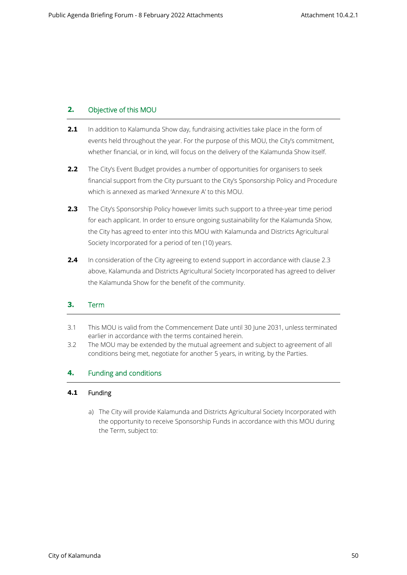## **2. Objective of this MOU**

- **2.1** In addition to Kalamunda Show day, fundraising activities take place in the form of events held throughout the year. For the purpose of this MOU, the City's commitment, whether financial, or in kind, will focus on the delivery of the Kalamunda Show itself.
- **2.2** The City's Event Budget provides a number of opportunities for organisers to seek financial support from the City pursuant to the City's Sponsorship Policy and Procedure which is annexed as marked 'Annexure A' to this MOU.
- **2.3** The City's Sponsorship Policy however limits such support to a three-year time period for each applicant. In order to ensure ongoing sustainability for the Kalamunda Show, the City has agreed to enter into this MOU with Kalamunda and Districts Agricultural Society Incorporated for a period of ten (10) years.
- **2.4** In consideration of the City agreeing to extend support in accordance with clause 2.3 above, Kalamunda and Districts Agricultural Society Incorporated has agreed to deliver the Kalamunda Show for the benefit of the community.

## **3. Term**

- 3.1 This MOU is valid from the Commencement Date until 30 June 2031, unless terminated earlier in accordance with the terms contained herein.
- 3.2 The MOU may be extended by the mutual agreement and subject to agreement of all conditions being met, negotiate for another 5 years, in writing, by the Parties.

## **4. Funding and conditions**

## **4.1 Funding**

a) The City will provide Kalamunda and Districts Agricultural Society Incorporated with the opportunity to receive Sponsorship Funds in accordance with this MOU during the Term, subject to: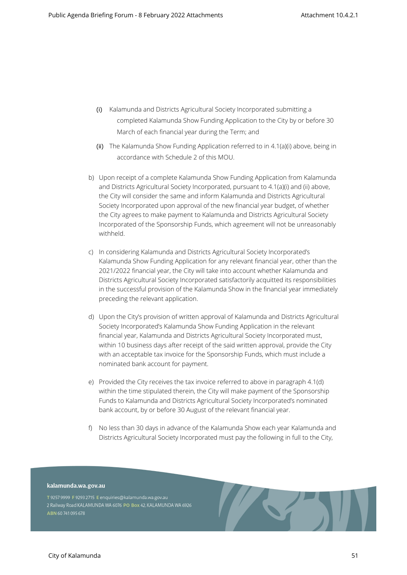- (i) Kalamunda and Districts Agricultural Society Incorporated submitting a completed Kalamunda Show Funding Application to the City by or before 30 March of each financial year during the Term; and
- (ii) The Kalamunda Show Funding Application referred to in 4.1(a)(i) above, being in accordance with Schedule 2 of this MOU.
- b) Upon receipt of a complete Kalamunda Show Funding Application from Kalamunda and Districts Agricultural Society Incorporated, pursuant to 4.1(a)(i) and (ii) above, the City will consider the same and inform Kalamunda and Districts Agricultural Society Incorporated upon approval of the new financial year budget, of whether the City agrees to make payment to Kalamunda and Districts Agricultural Society Incorporated of the Sponsorship Funds, which agreement will not be unreasonably withheld.
- c) In considering Kalamunda and Districts Agricultural Society Incorporated's Kalamunda Show Funding Application for any relevant financial year, other than the 2021/2022 financial year, the City will take into account whether Kalamunda and Districts Agricultural Society Incorporated satisfactorily acquitted its responsibilities in the successful provision of the Kalamunda Show in the financial year immediately preceding the relevant application.
- d) Upon the City's provision of written approval of Kalamunda and Districts Agricultural Society Incorporated's Kalamunda Show Funding Application in the relevant financial year, Kalamunda and Districts Agricultural Society Incorporated must, within 10 business days after receipt of the said written approval, provide the City with an acceptable tax invoice for the Sponsorship Funds, which must include a nominated bank account for payment.
- e) Provided the City receives the tax invoice referred to above in paragraph 4.1(d) within the time stipulated therein, the City will make payment of the Sponsorship Funds to Kalamunda and Districts Agricultural Society Incorporated's nominated bank account, by or before 30 August of the relevant financial year.
- f) No less than 30 days in advance of the Kalamunda Show each year Kalamunda and Districts Agricultural Society Incorporated must pay the following in full to the City,

**All Contracts** 

#### kalamunda.wa.gov.au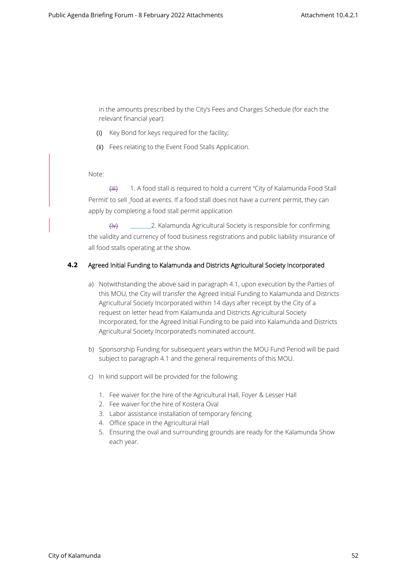in the amounts prescribed by the City's Fees and Charges Schedule (for each the relevant financial year):

- (i) Key Bond for keys required for the facility;
- (ii) Fees relating to the Event Food Stalls Application.

Note:

(iii) 1. A food stall is required to hold a current "City of Kalamunda Food Stall Permit' to sell food at events. If a food stall does not have a current permit, they can apply by completing a food stall permit application

(iv) 2. Kalamunda Agricultural Society is responsible for confirming the validity and currency of food business registrations and public liability insurance of all food stalls operating at the show.

## **4.2 Agreed Initial Funding to Kalamunda and Districts Agricultural Society Incorporated**

- a) Notwithstanding the above said in paragraph 4.1, upon execution by the Parties of this MOU, the City will transfer the Agreed Initial Funding to Kalamunda and Districts Agricultural Society Incorporated within 14 days after receipt by the City of a request on letter head from Kalamunda and Districts Agricultural Society Incorporated, for the Agreed Initial Funding to be paid into Kalamunda and Districts Agricultural Society Incorporated's nominated account.
- b) Sponsorship Funding for subsequent years within the MOU Fund Period will be paid subject to paragraph 4.1 and the general requirements of this MOU.
- c) In kind support will be provided for the following:
	- 1. Fee waiver for the hire of the Agricultural Hall, Foyer & Lesser Hall
	- 2. Fee waiver for the hire of Kostera Oval
	- 3. Labor assistance installation of temporary fencing
	- 4. Office space in the Agricultural Hall
	- 5. Ensuring the oval and surrounding grounds are ready for the Kalamunda Show each year.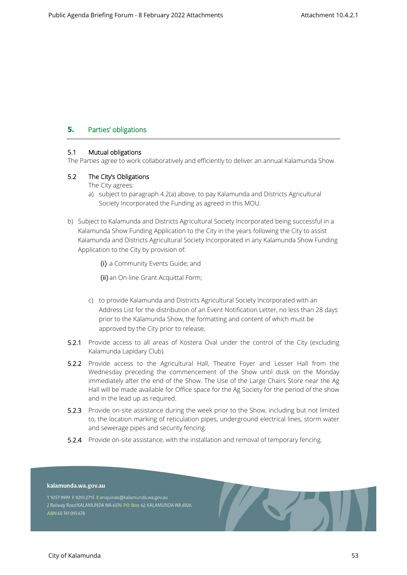## **5. Parties' obligations**

## **5.1 Mutual obligations**

The Parties agree to work collaboratively and efficiently to deliver an annual Kalamunda Show.

## **5.2 The City's Obligations**

The City agrees:

- a) subject to paragraph 4.2(a) above, to pay Kalamunda and Districts Agricultural Society Incorporated the Funding as agreed in this MOU.
- b) Subject to Kalamunda and Districts Agricultural Society Incorporated being successful in a Kalamunda Show Funding Application to the City in the years following the City to assist Kalamunda and Districts Agricultural Society Incorporated in any Kalamunda Show Funding Application to the City by provision of:

(i) a Community Events Guide; and

(ii) an On-line Grant Acquittal Form;

- c) to provide Kalamunda and Districts Agricultural Society Incorporated with an Address List for the distribution of an Event Notification Letter, no less than 28 days prior to the Kalamunda Show, the formatting and content of which must be approved by the City prior to release;
- **5.2.1** Provide access to all areas of Kostera Oval under the control of the City (excluding Kalamunda Lapidary Club).
- **5.2.2** Provide access to the Agricultural Hall, Theatre Foyer and Lesser Hall from the Wednesday preceding the commencement of the Show until dusk on the Monday immediately after the end of the Show. The Use of the Large Chairs Store near the Ag Hall will be made available for Office space for the Ag Society for the period of the show and in the lead up as required.
- **5.2.3** Provide on-site assistance during the week prior to the Show, including but not limited to, the location marking of reticulation pipes, underground electrical lines, storm water and sewerage pipes and security fencing.
- **5.2.4** Provide on-site assistance, with the installation and removal of temporary fencing.

#### kalamunda.wa.gov.au

T 9257 9999 F 9293 2715 E enquiries@kalamunda.wa.gov.au 2 Railway Road KALAMUNDA WA 6076 PO Box 42, KALAMUNDA WA 6926 ABN 60741095678

S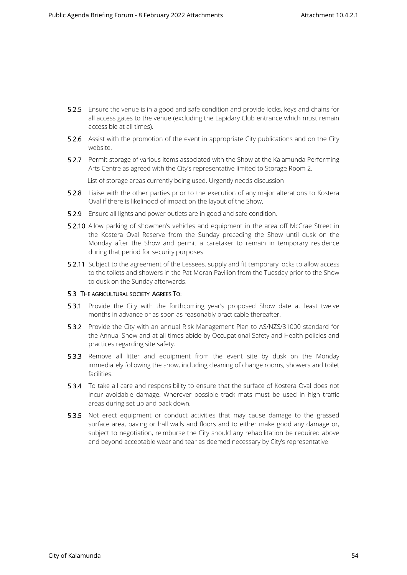- **5.2.5** Ensure the venue is in a good and safe condition and provide locks, keys and chains for all access gates to the venue (excluding the Lapidary Club entrance which must remain accessible at all times).
- **5.2.6** Assist with the promotion of the event in appropriate City publications and on the City website.
- **5.2.7** Permit storage of various items associated with the Show at the Kalamunda Performing Arts Centre as agreed with the City's representative limited to Storage Room 2.

List of storage areas currently being used. Urgently needs discussion

- **5.2.8** Liaise with the other parties prior to the execution of any major alterations to Kostera Oval if there is likelihood of impact on the layout of the Show.
- **5.2.9** Ensure all lights and power outlets are in good and safe condition.
- **5.2.10** Allow parking of showmen's vehicles and equipment in the area off McCrae Street in the Kostera Oval Reserve from the Sunday preceding the Show until dusk on the Monday after the Show and permit a caretaker to remain in temporary residence during that period for security purposes.
- **5.2.11** Subject to the agreement of the Lessees, supply and fit temporary locks to allow access to the toilets and showers in the Pat Moran Pavilion from the Tuesday prior to the Show to dusk on the Sunday afterwards.

#### **5.3 THE AGRICULTURAL SOCIETY AGREES TO:**

- **5.3.1** Provide the City with the forthcoming year's proposed Show date at least twelve months in advance or as soon as reasonably practicable thereafter.
- **5.3.2** Provide the City with an annual Risk Management Plan to AS/NZS/31000 standard for the Annual Show and at all times abide by Occupational Safety and Health policies and practices regarding site safety.
- **5.3.3** Remove all litter and equipment from the event site by dusk on the Monday immediately following the show, including cleaning of change rooms, showers and toilet facilities.
- **5.3.4** To take all care and responsibility to ensure that the surface of Kostera Oval does not incur avoidable damage. Wherever possible track mats must be used in high traffic areas during set up and pack down.
- **5.3.5** Not erect equipment or conduct activities that may cause damage to the grassed surface area, paving or hall walls and floors and to either make good any damage or, subject to negotiation, reimburse the City should any rehabilitation be required above and beyond acceptable wear and tear as deemed necessary by City's representative.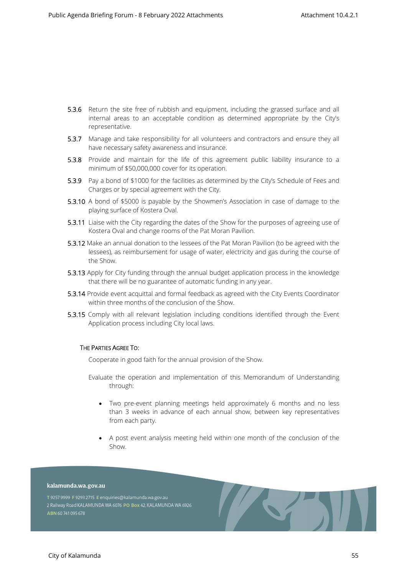- **5.3.6** Return the site free of rubbish and equipment, including the grassed surface and all internal areas to an acceptable condition as determined appropriate by the City's representative.
- **5.3.7** Manage and take responsibility for all volunteers and contractors and ensure they all have necessary safety awareness and insurance.
- **5.3.8** Provide and maintain for the life of this agreement public liability insurance to a minimum of \$50,000,000 cover for its operation.
- **5.3.9** Pay a bond of \$1000 for the facilities as determined by the City's Schedule of Fees and Charges or by special agreement with the City.
- **5.3.10** A bond of \$5000 is payable by the Showmen's Association in case of damage to the playing surface of Kostera Oval.
- **5.3.11** Liaise with the City regarding the dates of the Show for the purposes of agreeing use of Kostera Oval and change rooms of the Pat Moran Pavilion.
- **5.3.12** Make an annual donation to the lessees of the Pat Moran Pavilion (to be agreed with the lessees), as reimbursement for usage of water, electricity and gas during the course of the Show.
- **5.3.13** Apply for City funding through the annual budget application process in the knowledge that there will be no guarantee of automatic funding in any year.
- **5.3.14** Provide event acquittal and formal feedback as agreed with the City Events Coordinator within three months of the conclusion of the Show.
- **5.3.15** Comply with all relevant legislation including conditions identified through the Event Application process including City local laws.

#### **THE PARTIES AGREE TO:**

Cooperate in good faith for the annual provision of the Show.

Evaluate the operation and implementation of this Memorandum of Understanding through:

- Two pre-event planning meetings held approximately 6 months and no less than 3 weeks in advance of each annual show, between key representatives from each party.
- A post event analysis meeting held within one month of the conclusion of the Show.

AST.

#### kalamunda.wa.gov.au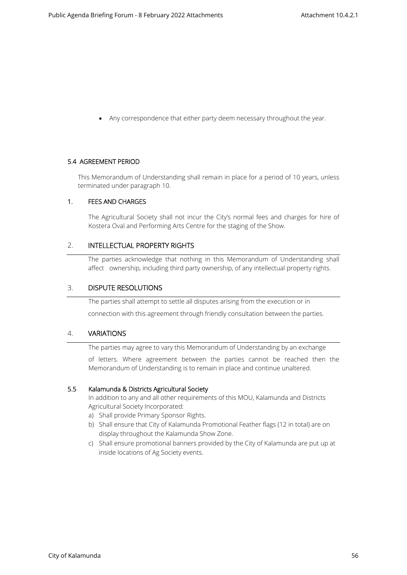Any correspondence that either party deem necessary throughout the year.

#### **5.4 AGREEMENT PERIOD**

This Memorandum of Understanding shall remain in place for a period of 10 years, unless terminated under paragraph 10.

#### **1. FEES AND CHARGES**

The Agricultural Society shall not incur the City's normal fees and charges for hire of Kostera Oval and Performing Arts Centre for the staging of the Show.

## 2. **INTELLECTUAL PROPERTY RIGHTS**

The parties acknowledge that nothing in this Memorandum of Understanding shall affect ownership, including third party ownership, of any intellectual property rights.

## 3. **DISPUTE RESOLUTIONS**

The parties shall attempt to settle all disputes arising from the execution or in connection with this agreement through friendly consultation between the parties.

## 4. **VARIATIONS**

The parties may agree to vary this Memorandum of Understanding by an exchange

of letters. Where agreement between the parties cannot be reached then the Memorandum of Understanding is to remain in place and continue unaltered.

#### **5.5 Kalamunda & Districts Agricultural Society**

In addition to any and all other requirements of this MOU, Kalamunda and Districts Agricultural Society Incorporated:

- a) Shall provide Primary Sponsor Rights.
- b) Shall ensure that City of Kalamunda Promotional Feather flags (12 in total) are on display throughout the Kalamunda Show Zone.
- c) Shall ensure promotional banners provided by the City of Kalamunda are put up at inside locations of Ag Society events.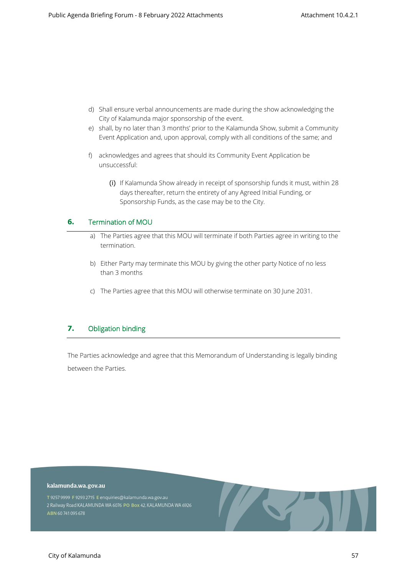- d) Shall ensure verbal announcements are made during the show acknowledging the City of Kalamunda major sponsorship of the event.
- e) shall, by no later than 3 months' prior to the Kalamunda Show, submit a Community Event Application and, upon approval, comply with all conditions of the same; and
- f) acknowledges and agrees that should its Community Event Application be unsuccessful:
	- (i) If Kalamunda Show already in receipt of sponsorship funds it must, within 28 days thereafter, return the entirety of any Agreed Initial Funding, or Sponsorship Funds, as the case may be to the City.

## **6. Termination of MOU**

- a) The Parties agree that this MOU will terminate if both Parties agree in writing to the termination.
- b) Either Party may terminate this MOU by giving the other party Notice of no less than 3 months
- c) The Parties agree that this MOU will otherwise terminate on 30 June 2031.

## **7. Obligation binding**

The Parties acknowledge and agree that this Memorandum of Understanding is legally binding between the Parties.

#### kalamunda.wa.gov.au

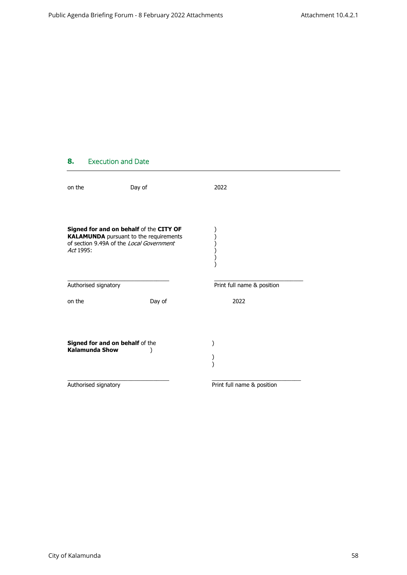## **8. Execution and Date**

| on the                                                                                                                                            | Day of | 2022                       |  |
|---------------------------------------------------------------------------------------------------------------------------------------------------|--------|----------------------------|--|
| Signed for and on behalf of the CITY OF<br><b>KALAMUNDA</b> pursuant to the requirements<br>of section 9.49A of the Local Government<br>Act 1995: |        |                            |  |
| Authorised signatory                                                                                                                              |        | Print full name & position |  |
| on the                                                                                                                                            | Day of | 2022                       |  |
| Signed for and on behalf of the<br><b>Kalamunda Show</b>                                                                                          |        |                            |  |
| Authorised signatory                                                                                                                              |        | Print full name & position |  |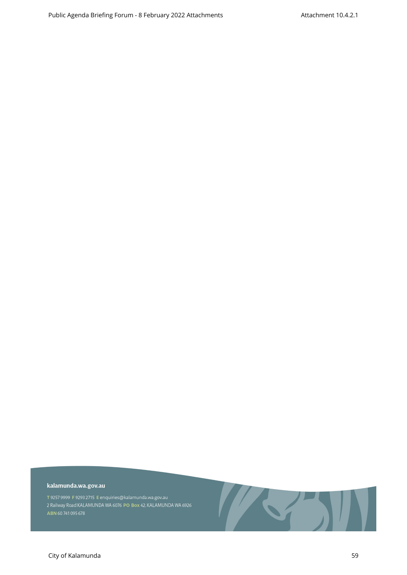#### kalamunda.wa.gov.au

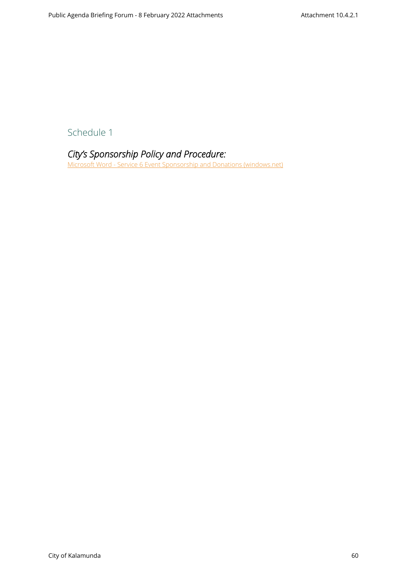Schedule 1

*City's Sponsorship Policy and Procedure:*  [Microsoft Word - Service 6 Event Sponsorship and Donations \(windows.net\)](https://kalblob.blob.core.windows.net/kallibrary/docs/default-source/policies/event-sponsorship-and-donations-service-6.pdf?sfvrsn=eff18361_13)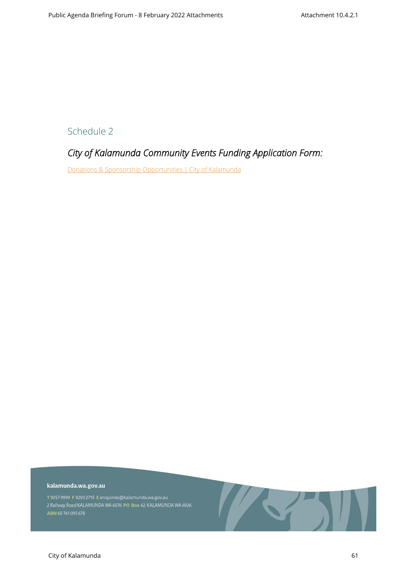Schedule 2

## *City of Kalamunda Community Events Funding Application Form:*

[Donations & Sponsorship Opportunities | City of Kalamunda](https://www.kalamunda.wa.gov.au/our-city/events-workshops/donations-sponsorship-opportunities)

#### kalamunda.wa.gov.au